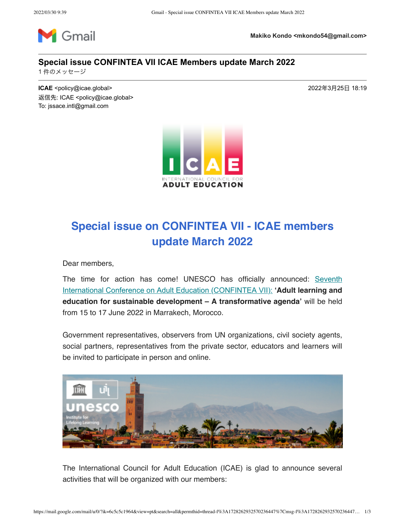

**Makiko Kondo <mkondo54@gmail.com>**

## **Special issue CONFINTEA VII ICAE Members update March 2022**

1件のメッセージ

**ICAE** <policy@icae.global> 2022年3月25日 18:19 返信先: ICAE <policy@icae.global> To: jssace.intl@gmail.com



## Special issue on CONFINTEA VII - ICAE members update March 2022

Dear members,

The time for action has come! UNESCO has officially announced: Seventh International Conference on Adult Education (CONFINTEA VII): 'Adult learning and education for sustainable development – A transformative agenda' will be held from 15 to 17 June 2022 in Marrakech, Morocco.

Government representatives, observers from UN organizations, civil society agents, social partners, representatives from the private sector, educators and learners will be invited to participate in person and online.



The International Council for Adult Education (ICAE) is glad to announce several activities that will be organized with our members: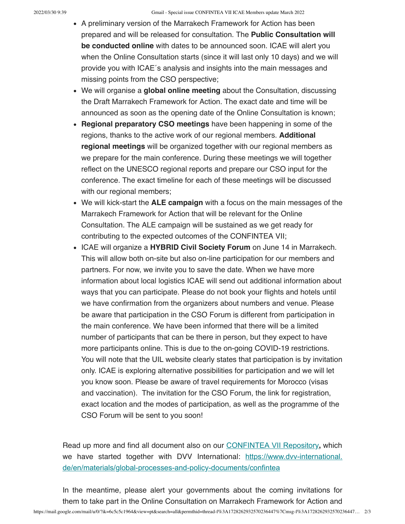- A preliminary version of the Marrakech Framework for Action has been prepared and will be released for consultation. The Public Consultation will be conducted online with dates to be announced soon. ICAE will alert you when the Online Consultation starts (since it will last only 10 days) and we will provide you with ICAE´s analysis and insights into the main messages and missing points from the CSO perspective;
- We will organise a global online meeting about the Consultation, discussing the Draft Marrakech Framework for Action. The exact date and time will be announced as soon as the opening date of the Online Consultation is known;
- Regional preparatory CSO meetings have been happening in some of the regions, thanks to the active work of our regional members. Additional regional meetings will be organized together with our regional members as we prepare for the main conference. During these meetings we will together reflect on the UNESCO regional reports and prepare our CSO input for the conference. The exact timeline for each of these meetings will be discussed with our regional members;
- We will kick-start the **ALE campaign** with a focus on the main messages of the Marrakech Framework for Action that will be relevant for the Online Consultation. The ALE campaign will be sustained as we get ready for contributing to the expected outcomes of the CONFINTEA VII;
- ICAE will organize a HYBRID Civil Society Forum on June 14 in Marrakech. This will allow both on-site but also on-line participation for our members and partners. For now, we invite you to save the date. When we have more information about local logistics ICAE will send out additional information about ways that you can participate. Please do not book your flights and hotels until we have confirmation from the organizers about numbers and venue. Please be aware that participation in the CSO Forum is different from participation in the main conference. We have been informed that there will be a limited number of participants that can be there in person, but they expect to have more participants online. This is due to the on-going COVID-19 restrictions. You will note that the UIL website clearly states that participation is by invitation only. ICAE is exploring alternative possibilities for participation and we will let you know soon. Please be aware of travel requirements for Morocco (visas and vaccination). The invitation for the CSO Forum, the link for registration, exact location and the modes of participation, as well as the programme of the CSO Forum will be sent to you soon!

Read up more and find all document also on our CONFINTEA VII Repository, which we have started together with DVV International: https://www.dvv-international. de/en/materials/global-processes-and-policy-documents/confintea

In the meantime, please alert your governments about the coming invitations for them to take part in the Online Consultation on Marrakech Framework for Action and